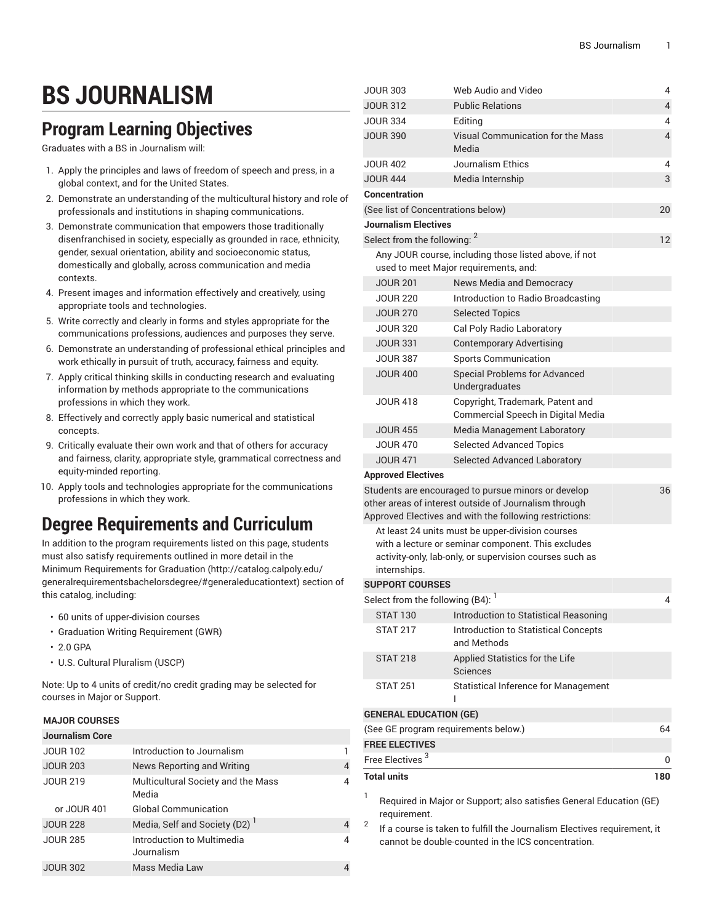# **BS JOURNALISM**

### **Program Learning Objectives**

Graduates with a BS in Journalism will:

- 1. Apply the principles and laws of freedom of speech and press, in a global context, and for the United States.
- 2. Demonstrate an understanding of the multicultural history and role of professionals and institutions in shaping communications.
- 3. Demonstrate communication that empowers those traditionally disenfranchised in society, especially as grounded in race, ethnicity, gender, sexual orientation, ability and socioeconomic status, domestically and globally, across communication and media contexts.
- 4. Present images and information effectively and creatively, using appropriate tools and technologies.
- 5. Write correctly and clearly in forms and styles appropriate for the communications professions, audiences and purposes they serve.
- 6. Demonstrate an understanding of professional ethical principles and work ethically in pursuit of truth, accuracy, fairness and equity.
- 7. Apply critical thinking skills in conducting research and evaluating information by methods appropriate to the communications professions in which they work.
- 8. Effectively and correctly apply basic numerical and statistical concepts.
- 9. Critically evaluate their own work and that of others for accuracy and fairness, clarity, appropriate style, grammatical correctness and equity-minded reporting.
- 10. Apply tools and technologies appropriate for the communications professions in which they work.

## **Degree Requirements and Curriculum**

In addition to the program requirements listed on this page, students must also satisfy requirements outlined in more detail in the Minimum [Requirements](http://catalog.calpoly.edu/generalrequirementsbachelorsdegree/#generaleducationtext) for Graduation ([http://catalog.calpoly.edu/](http://catalog.calpoly.edu/generalrequirementsbachelorsdegree/#generaleducationtext) [generalrequirementsbachelorsdegree/#generaleducationtext\)](http://catalog.calpoly.edu/generalrequirementsbachelorsdegree/#generaleducationtext) section of this catalog, including:

- 60 units of upper-division courses
- Graduation Writing Requirement (GWR)
- 2.0 GPA
- U.S. Cultural Pluralism (USCP)

Note: Up to 4 units of credit/no credit grading may be selected for courses in Major or Support.

#### **MAJOR COURSES**

| <b>Journalism Core</b> |                                             |   |
|------------------------|---------------------------------------------|---|
| <b>JOUR 102</b>        | Introduction to Journalism                  |   |
| <b>JOUR 203</b>        | News Reporting and Writing                  | 4 |
| <b>JOUR 219</b>        | Multicultural Society and the Mass<br>Media | 4 |
| or JOUR 401            | <b>Global Communication</b>                 |   |
| <b>JOUR 228</b>        | Media, Self and Society (D2)                | 4 |
| <b>JOUR 285</b>        | Introduction to Multimedia<br>Journalism    | 4 |
| <b>JOUR 302</b>        | Mass Media Law                              |   |

| <b>JOUR 303</b>                         | Web Audio and Video                                                                                                                                                     | 4                        |
|-----------------------------------------|-------------------------------------------------------------------------------------------------------------------------------------------------------------------------|--------------------------|
| <b>JOUR 312</b>                         | <b>Public Relations</b>                                                                                                                                                 | 4                        |
| <b>JOUR 334</b>                         | Editing                                                                                                                                                                 | 4                        |
| <b>JOUR 390</b>                         | Visual Communication for the Mass<br>Media                                                                                                                              | $\overline{\mathcal{L}}$ |
| <b>JOUR 402</b>                         | Journalism Ethics                                                                                                                                                       | 4                        |
| <b>JOUR 444</b>                         | Media Internship                                                                                                                                                        | 3                        |
| Concentration                           |                                                                                                                                                                         |                          |
|                                         | (See list of Concentrations below)                                                                                                                                      | 20                       |
| Journalism Electives                    |                                                                                                                                                                         |                          |
| Select from the following: <sup>2</sup> |                                                                                                                                                                         | 12                       |
|                                         | Any JOUR course, including those listed above, if not<br>used to meet Major requirements, and:                                                                          |                          |
| <b>JOUR 201</b>                         | News Media and Democracy                                                                                                                                                |                          |
| <b>JOUR 220</b>                         | Introduction to Radio Broadcasting                                                                                                                                      |                          |
| <b>JOUR 270</b>                         | <b>Selected Topics</b>                                                                                                                                                  |                          |
| <b>JOUR 320</b>                         | Cal Poly Radio Laboratory                                                                                                                                               |                          |
| <b>JOUR 331</b>                         | <b>Contemporary Advertising</b>                                                                                                                                         |                          |
| <b>JOUR 387</b>                         | <b>Sports Communication</b>                                                                                                                                             |                          |
| <b>JOUR 400</b>                         | <b>Special Problems for Advanced</b><br>Undergraduates                                                                                                                  |                          |
| <b>JOUR 418</b>                         | Copyright, Trademark, Patent and<br>Commercial Speech in Digital Media                                                                                                  |                          |
| <b>JOUR 455</b>                         | Media Management Laboratory                                                                                                                                             |                          |
| <b>JOUR 470</b>                         | <b>Selected Advanced Topics</b>                                                                                                                                         |                          |
| <b>JOUR 471</b>                         | <b>Selected Advanced Laboratory</b>                                                                                                                                     |                          |
| <b>Approved Electives</b>               |                                                                                                                                                                         |                          |
|                                         | Students are encouraged to pursue minors or develop<br>other areas of interest outside of Journalism through<br>Approved Electives and with the following restrictions: | 36                       |
| internships.                            | At least 24 units must be upper-division courses<br>with a lecture or seminar component. This excludes<br>activity-only, lab-only, or supervision courses such as       |                          |
| <b>SUPPORT COURSES</b>                  |                                                                                                                                                                         |                          |
| Select from the following (B4):         |                                                                                                                                                                         | 4                        |
| <b>STAT 130</b>                         | Introduction to Statistical Reasoning                                                                                                                                   |                          |
| <b>STAT 217</b>                         | Introduction to Statistical Concepts<br>and Methods                                                                                                                     |                          |
| <b>STAT 218</b>                         | Applied Statistics for the Life<br><b>Sciences</b>                                                                                                                      |                          |
| <b>STAT 251</b>                         | <b>Statistical Inference for Management</b><br>ı                                                                                                                        |                          |
| <b>GENERAL EDUCATION (GE)</b>           |                                                                                                                                                                         |                          |
|                                         | (See GE program requirements below.)                                                                                                                                    | 64                       |
| <b>FREE ELECTIVES</b>                   |                                                                                                                                                                         |                          |
| Free Electives <sup>3</sup>             |                                                                                                                                                                         | 0                        |
| <b>Total units</b>                      |                                                                                                                                                                         | 180                      |
| 1<br>requirement.                       | Required in Major or Support; also satisfies General Education (GE)                                                                                                     |                          |

2 If a course is taken to fulfill the Journalism Electives requirement, it cannot be double-counted in the ICS concentration.